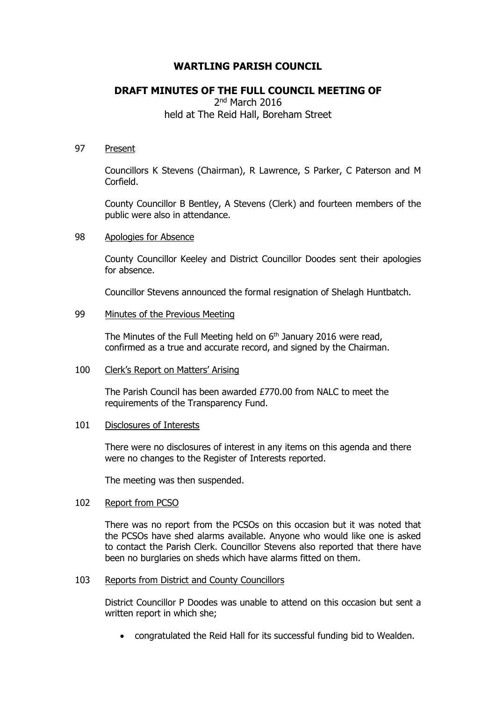# **WARTLING PARISH COUNCIL**

# **DRAFT MINUTES OF THE FULL COUNCIL MEETING OF**

## 2<sup>nd</sup> March 2016 held at The Reid Hall, Boreham Street

## 97 Present

Councillors K Stevens (Chairman), R Lawrence, S Parker, C Paterson and M Corfield.

County Councillor B Bentley, A Stevens (Clerk) and fourteen members of the public were also in attendance.

#### 98 Apologies for Absence

County Councillor Keeley and District Councillor Doodes sent their apologies for absence.

Councillor Stevens announced the formal resignation of Shelagh Huntbatch.

## 99 Minutes of the Previous Meeting

The Minutes of the Full Meeting held on 6<sup>th</sup> January 2016 were read, confirmed as a true and accurate record, and signed by the Chairman.

## 100 Clerk's Report on Matters' Arising

The Parish Council has been awarded £770.00 from NALC to meet the requirements of the Transparency Fund.

#### 101 Disclosures of Interests

There were no disclosures of interest in any items on this agenda and there were no changes to the Register of Interests reported.

The meeting was then suspended.

## 102 Report from PCSO

There was no report from the PCSOs on this occasion but it was noted that the PCSOs have shed alarms available. Anyone who would like one is asked to contact the Parish Clerk. Councillor Stevens also reported that there have been no burglaries on sheds which have alarms fitted on them.

#### 103 Reports from District and County Councillors

District Councillor P Doodes was unable to attend on this occasion but sent a written report in which she;

congratulated the Reid Hall for its successful funding bid to Wealden.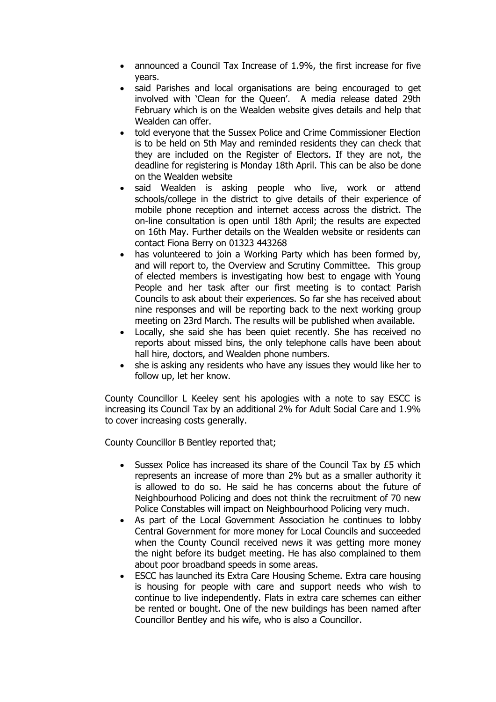- announced a Council Tax Increase of 1.9%, the first increase for five years.
- said Parishes and local organisations are being encouraged to get involved with 'Clean for the Queen'. A media release dated 29th February which is on the Wealden website gives details and help that Wealden can offer.
- told everyone that the Sussex Police and Crime Commissioner Election is to be held on 5th May and reminded residents they can check that they are included on the Register of Electors. If they are not, the deadline for registering is Monday 18th April. This can be also be done on the Wealden website
- said Wealden is asking people who live, work or attend schools/college in the district to give details of their experience of mobile phone reception and internet access across the district. The on-line consultation is open until 18th April; the results are expected on 16th May. Further details on the Wealden website or residents can contact Fiona Berry on 01323 443268
- has volunteered to join a Working Party which has been formed by, and will report to, the Overview and Scrutiny Committee. This group of elected members is investigating how best to engage with Young People and her task after our first meeting is to contact Parish Councils to ask about their experiences. So far she has received about nine responses and will be reporting back to the next working group meeting on 23rd March. The results will be published when available.
- Locally, she said she has been quiet recently. She has received no reports about missed bins, the only telephone calls have been about hall hire, doctors, and Wealden phone numbers.
- she is asking any residents who have any issues they would like her to follow up, let her know.

County Councillor L Keeley sent his apologies with a note to say ESCC is increasing its Council Tax by an additional 2% for Adult Social Care and 1.9% to cover increasing costs generally.

County Councillor B Bentley reported that;

- Sussex Police has increased its share of the Council Tax by £5 which represents an increase of more than 2% but as a smaller authority it is allowed to do so. He said he has concerns about the future of Neighbourhood Policing and does not think the recruitment of 70 new Police Constables will impact on Neighbourhood Policing very much.
- As part of the Local Government Association he continues to lobby Central Government for more money for Local Councils and succeeded when the County Council received news it was getting more money the night before its budget meeting. He has also complained to them about poor broadband speeds in some areas.
- ESCC has launched its Extra Care Housing Scheme. Extra care housing is housing for people with care and support needs who wish to continue to live independently. Flats in extra care schemes can either be rented or bought. One of the new buildings has been named after Councillor Bentley and his wife, who is also a Councillor.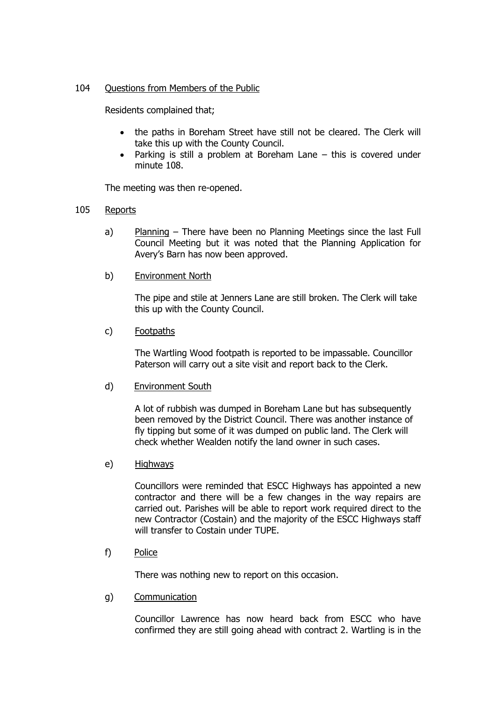## 104 Questions from Members of the Public

Residents complained that;

- the paths in Boreham Street have still not be cleared. The Clerk will take this up with the County Council.
- Parking is still a problem at Boreham Lane this is covered under minute 108.

The meeting was then re-opened.

- 105 Reports
	- a) Planning There have been no Planning Meetings since the last Full Council Meeting but it was noted that the Planning Application for Avery's Barn has now been approved.
	- b) Environment North

The pipe and stile at Jenners Lane are still broken. The Clerk will take this up with the County Council.

c) Footpaths

The Wartling Wood footpath is reported to be impassable. Councillor Paterson will carry out a site visit and report back to the Clerk.

d) Environment South

A lot of rubbish was dumped in Boreham Lane but has subsequently been removed by the District Council. There was another instance of fly tipping but some of it was dumped on public land. The Clerk will check whether Wealden notify the land owner in such cases.

e) Highways

Councillors were reminded that ESCC Highways has appointed a new contractor and there will be a few changes in the way repairs are carried out. Parishes will be able to report work required direct to the new Contractor (Costain) and the majority of the ESCC Highways staff will transfer to Costain under TUPE.

f) Police

There was nothing new to report on this occasion.

g) Communication

Councillor Lawrence has now heard back from ESCC who have confirmed they are still going ahead with contract 2. Wartling is in the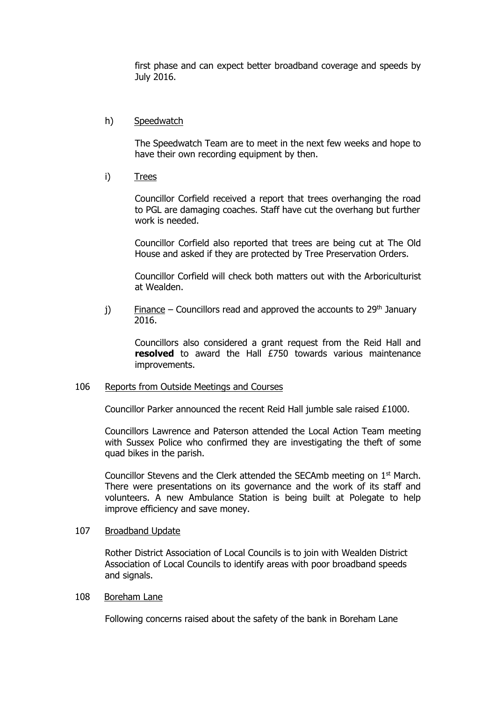first phase and can expect better broadband coverage and speeds by July 2016.

## h) Speedwatch

The Speedwatch Team are to meet in the next few weeks and hope to have their own recording equipment by then.

i) Trees

Councillor Corfield received a report that trees overhanging the road to PGL are damaging coaches. Staff have cut the overhang but further work is needed.

Councillor Corfield also reported that trees are being cut at The Old House and asked if they are protected by Tree Preservation Orders.

Councillor Corfield will check both matters out with the Arboriculturist at Wealden.

j) Finance – Councillors read and approved the accounts to  $29<sup>th</sup>$  January 2016.

Councillors also considered a grant request from the Reid Hall and **resolved** to award the Hall £750 towards various maintenance improvements.

#### 106 Reports from Outside Meetings and Courses

Councillor Parker announced the recent Reid Hall jumble sale raised £1000.

Councillors Lawrence and Paterson attended the Local Action Team meeting with Sussex Police who confirmed they are investigating the theft of some quad bikes in the parish.

Councillor Stevens and the Clerk attended the SECAmb meeting on  $1<sup>st</sup>$  March. There were presentations on its governance and the work of its staff and volunteers. A new Ambulance Station is being built at Polegate to help improve efficiency and save money.

#### 107 Broadband Update

Rother District Association of Local Councils is to join with Wealden District Association of Local Councils to identify areas with poor broadband speeds and signals.

#### 108 Boreham Lane

Following concerns raised about the safety of the bank in Boreham Lane